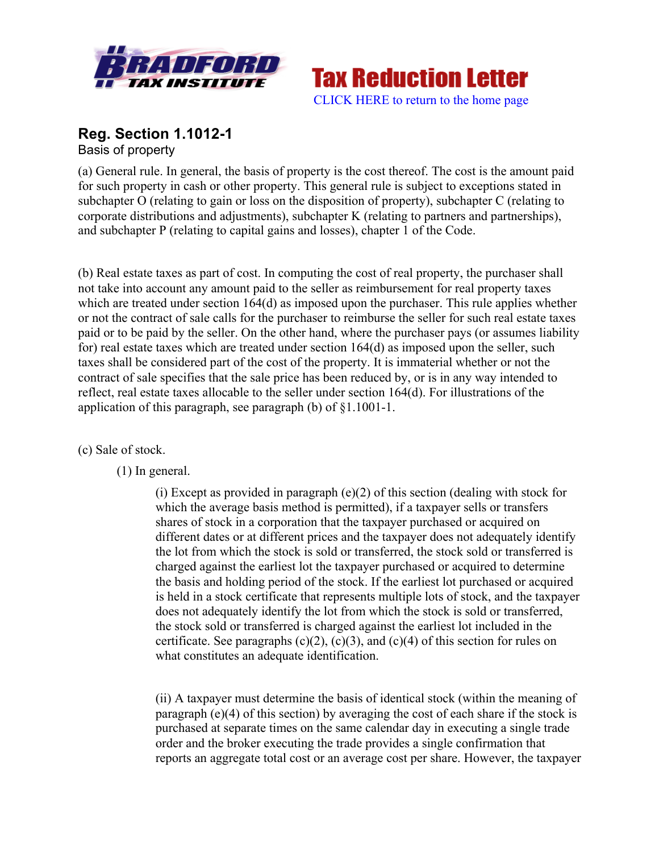



# **Reg. Section 1.1012-1** Basis of property

(a) General rule. In general, the basis of property is the cost thereof. The cost is the amount paid for such property in cash or other property. This general rule is subject to exceptions stated in subchapter O (relating to gain or loss on the disposition of property), subchapter C (relating to corporate distributions and adjustments), subchapter K (relating to partners and partnerships), and subchapter P (relating to capital gains and losses), chapter 1 of the Code.

(b) Real estate taxes as part of cost. In computing the cost of real property, the purchaser shall not take into account any amount paid to the seller as reimbursement for real property taxes which are treated under section 164(d) as imposed upon the purchaser. This rule applies whether or not the contract of sale calls for the purchaser to reimburse the seller for such real estate taxes paid or to be paid by the seller. On the other hand, where the purchaser pays (or assumes liability for) real estate taxes which are treated under section 164(d) as imposed upon the seller, such taxes shall be considered part of the cost of the property. It is immaterial whether or not the contract of sale specifies that the sale price has been reduced by, or is in any way intended to reflect, real estate taxes allocable to the seller under section 164(d). For illustrations of the application of this paragraph, see paragraph (b) of §1.1001-1.

(c) Sale of stock.

(1) In general.

(i) Except as provided in paragraph  $(e)(2)$  of this section (dealing with stock for which the average basis method is permitted), if a taxpayer sells or transfers shares of stock in a corporation that the taxpayer purchased or acquired on different dates or at different prices and the taxpayer does not adequately identify the lot from which the stock is sold or transferred, the stock sold or transferred is charged against the earliest lot the taxpayer purchased or acquired to determine the basis and holding period of the stock. If the earliest lot purchased or acquired is held in a stock certificate that represents multiple lots of stock, and the taxpayer does not adequately identify the lot from which the stock is sold or transferred, the stock sold or transferred is charged against the earliest lot included in the certificate. See paragraphs  $(c)(2)$ ,  $(c)(3)$ , and  $(c)(4)$  of this section for rules on what constitutes an adequate identification.

(ii) A taxpayer must determine the basis of identical stock (within the meaning of paragraph (e)(4) of this section) by averaging the cost of each share if the stock is purchased at separate times on the same calendar day in executing a single trade order and the broker executing the trade provides a single confirmation that reports an aggregate total cost or an average cost per share. However, the taxpayer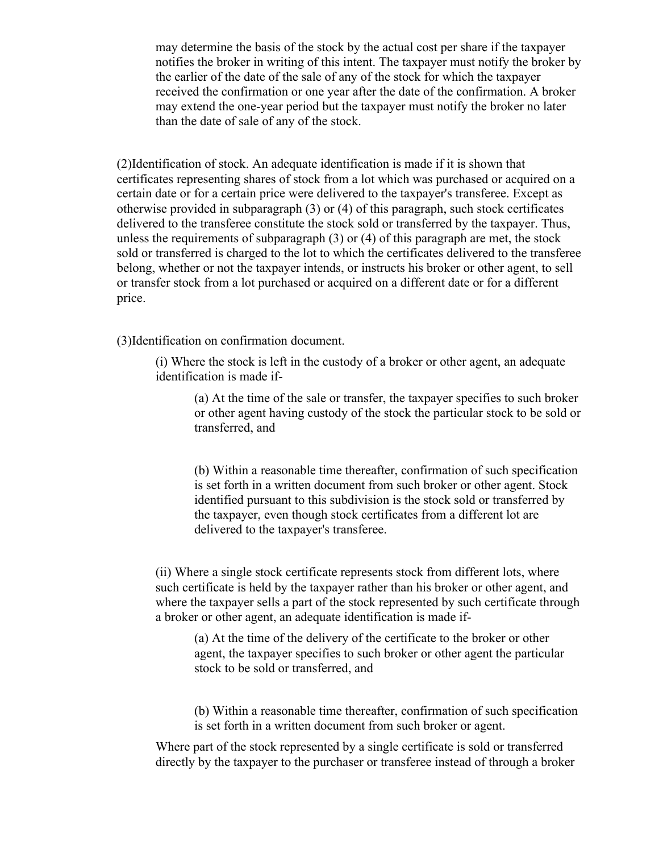may determine the basis of the stock by the actual cost per share if the taxpayer notifies the broker in writing of this intent. The taxpayer must notify the broker by the earlier of the date of the sale of any of the stock for which the taxpayer received the confirmation or one year after the date of the confirmation. A broker may extend the one-year period but the taxpayer must notify the broker no later than the date of sale of any of the stock.

(2)Identification of stock. An adequate identification is made if it is shown that certificates representing shares of stock from a lot which was purchased or acquired on a certain date or for a certain price were delivered to the taxpayer's transferee. Except as otherwise provided in subparagraph (3) or (4) of this paragraph, such stock certificates delivered to the transferee constitute the stock sold or transferred by the taxpayer. Thus, unless the requirements of subparagraph (3) or (4) of this paragraph are met, the stock sold or transferred is charged to the lot to which the certificates delivered to the transferee belong, whether or not the taxpayer intends, or instructs his broker or other agent, to sell or transfer stock from a lot purchased or acquired on a different date or for a different price.

(3)Identification on confirmation document.

(i) Where the stock is left in the custody of a broker or other agent, an adequate identification is made if-

(a) At the time of the sale or transfer, the taxpayer specifies to such broker or other agent having custody of the stock the particular stock to be sold or transferred, and

(b) Within a reasonable time thereafter, confirmation of such specification is set forth in a written document from such broker or other agent. Stock identified pursuant to this subdivision is the stock sold or transferred by the taxpayer, even though stock certificates from a different lot are delivered to the taxpayer's transferee.

(ii) Where a single stock certificate represents stock from different lots, where such certificate is held by the taxpayer rather than his broker or other agent, and where the taxpayer sells a part of the stock represented by such certificate through a broker or other agent, an adequate identification is made if-

(a) At the time of the delivery of the certificate to the broker or other agent, the taxpayer specifies to such broker or other agent the particular stock to be sold or transferred, and

(b) Within a reasonable time thereafter, confirmation of such specification is set forth in a written document from such broker or agent.

Where part of the stock represented by a single certificate is sold or transferred directly by the taxpayer to the purchaser or transferee instead of through a broker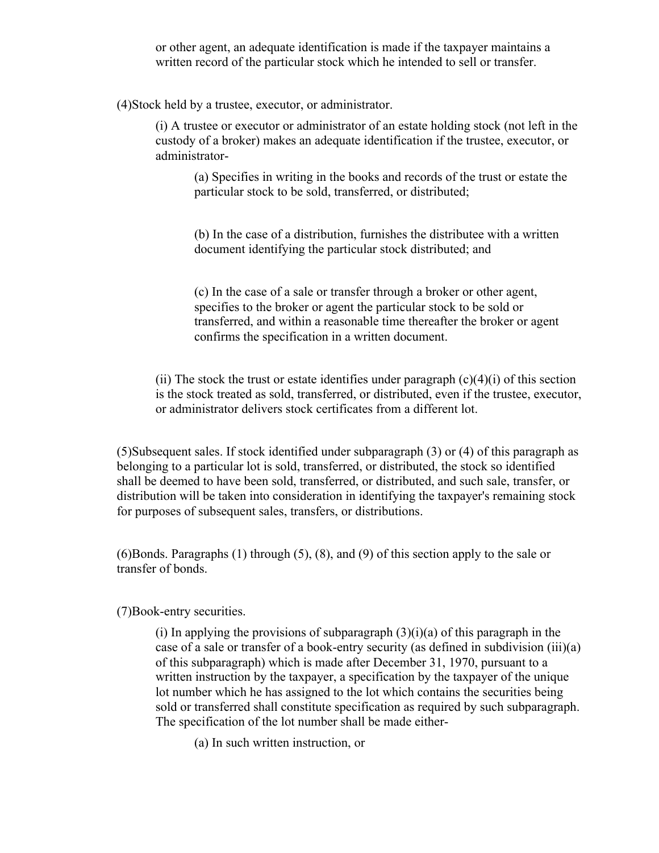or other agent, an adequate identification is made if the taxpayer maintains a written record of the particular stock which he intended to sell or transfer.

(4)Stock held by a trustee, executor, or administrator.

(i) A trustee or executor or administrator of an estate holding stock (not left in the custody of a broker) makes an adequate identification if the trustee, executor, or administrator-

(a) Specifies in writing in the books and records of the trust or estate the particular stock to be sold, transferred, or distributed;

(b) In the case of a distribution, furnishes the distributee with a written document identifying the particular stock distributed; and

(c) In the case of a sale or transfer through a broker or other agent, specifies to the broker or agent the particular stock to be sold or transferred, and within a reasonable time thereafter the broker or agent confirms the specification in a written document.

(ii) The stock the trust or estate identifies under paragraph  $(c)(4)(i)$  of this section is the stock treated as sold, transferred, or distributed, even if the trustee, executor, or administrator delivers stock certificates from a different lot.

(5)Subsequent sales. If stock identified under subparagraph (3) or (4) of this paragraph as belonging to a particular lot is sold, transferred, or distributed, the stock so identified shall be deemed to have been sold, transferred, or distributed, and such sale, transfer, or distribution will be taken into consideration in identifying the taxpayer's remaining stock for purposes of subsequent sales, transfers, or distributions.

(6)Bonds. Paragraphs (1) through (5), (8), and (9) of this section apply to the sale or transfer of bonds.

(7)Book-entry securities.

(i) In applying the provisions of subparagraph  $(3)(i)(a)$  of this paragraph in the case of a sale or transfer of a book-entry security (as defined in subdivision (iii)(a) of this subparagraph) which is made after December 31, 1970, pursuant to a written instruction by the taxpayer, a specification by the taxpayer of the unique lot number which he has assigned to the lot which contains the securities being sold or transferred shall constitute specification as required by such subparagraph. The specification of the lot number shall be made either-

(a) In such written instruction, or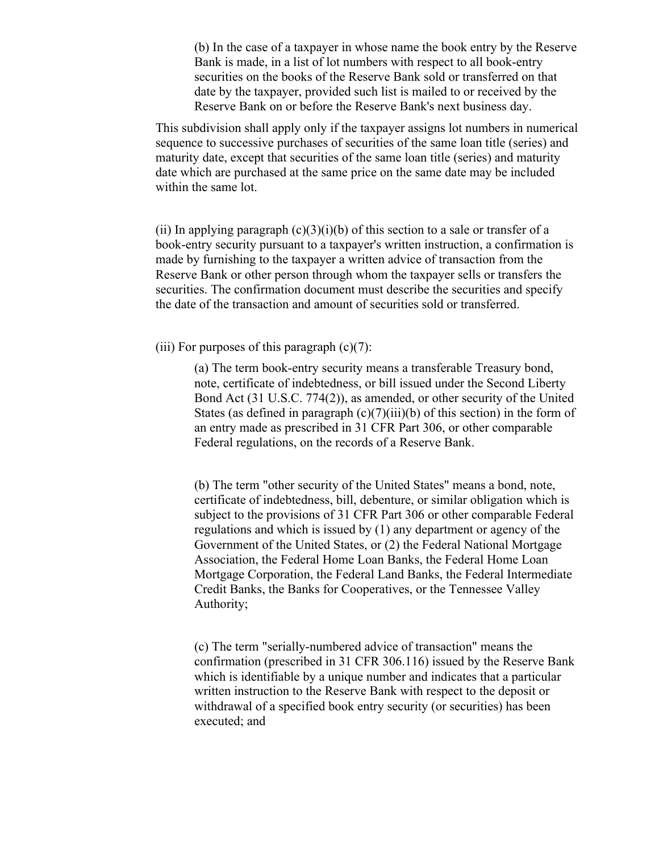(b) In the case of a taxpayer in whose name the book entry by the Reserve Bank is made, in a list of lot numbers with respect to all book-entry securities on the books of the Reserve Bank sold or transferred on that date by the taxpayer, provided such list is mailed to or received by the Reserve Bank on or before the Reserve Bank's next business day.

This subdivision shall apply only if the taxpayer assigns lot numbers in numerical sequence to successive purchases of securities of the same loan title (series) and maturity date, except that securities of the same loan title (series) and maturity date which are purchased at the same price on the same date may be included within the same lot.

(ii) In applying paragraph  $(c)(3)(i)(b)$  of this section to a sale or transfer of a book-entry security pursuant to a taxpayer's written instruction, a confirmation is made by furnishing to the taxpayer a written advice of transaction from the Reserve Bank or other person through whom the taxpayer sells or transfers the securities. The confirmation document must describe the securities and specify the date of the transaction and amount of securities sold or transferred.

(iii) For purposes of this paragraph  $(c)(7)$ :

(a) The term book-entry security means a transferable Treasury bond, note, certificate of indebtedness, or bill issued under the Second Liberty Bond Act (31 U.S.C. 774(2)), as amended, or other security of the United States (as defined in paragraph  $(c)(7)(iii)(b)$  of this section) in the form of an entry made as prescribed in 31 CFR Part 306, or other comparable Federal regulations, on the records of a Reserve Bank.

(b) The term "other security of the United States" means a bond, note, certificate of indebtedness, bill, debenture, or similar obligation which is subject to the provisions of 31 CFR Part 306 or other comparable Federal regulations and which is issued by (1) any department or agency of the Government of the United States, or (2) the Federal National Mortgage Association, the Federal Home Loan Banks, the Federal Home Loan Mortgage Corporation, the Federal Land Banks, the Federal Intermediate Credit Banks, the Banks for Cooperatives, or the Tennessee Valley Authority;

(c) The term "serially-numbered advice of transaction" means the confirmation (prescribed in 31 CFR 306.116) issued by the Reserve Bank which is identifiable by a unique number and indicates that a particular written instruction to the Reserve Bank with respect to the deposit or withdrawal of a specified book entry security (or securities) has been executed; and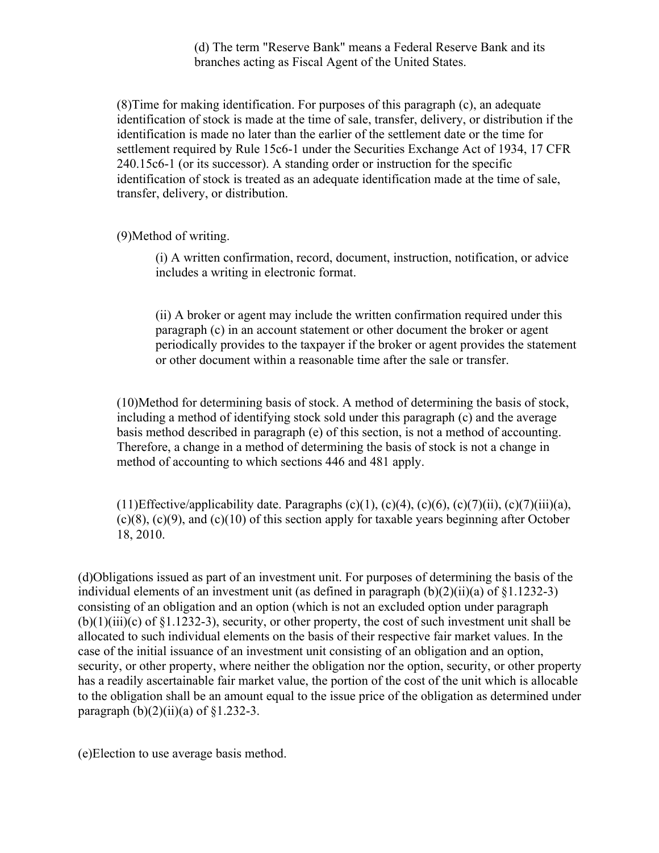(d) The term "Reserve Bank" means a Federal Reserve Bank and its branches acting as Fiscal Agent of the United States.

(8)Time for making identification. For purposes of this paragraph (c), an adequate identification of stock is made at the time of sale, transfer, delivery, or distribution if the identification is made no later than the earlier of the settlement date or the time for settlement required by Rule 15c6-1 under the Securities Exchange Act of 1934, 17 CFR 240.15c6-1 (or its successor). A standing order or instruction for the specific identification of stock is treated as an adequate identification made at the time of sale, transfer, delivery, or distribution.

(9)Method of writing.

(i) A written confirmation, record, document, instruction, notification, or advice includes a writing in electronic format.

(ii) A broker or agent may include the written confirmation required under this paragraph (c) in an account statement or other document the broker or agent periodically provides to the taxpayer if the broker or agent provides the statement or other document within a reasonable time after the sale or transfer.

(10)Method for determining basis of stock. A method of determining the basis of stock, including a method of identifying stock sold under this paragraph (c) and the average basis method described in paragraph (e) of this section, is not a method of accounting. Therefore, a change in a method of determining the basis of stock is not a change in method of accounting to which sections 446 and 481 apply.

(11)Effective/applicability date. Paragraphs (c)(1), (c)(4), (c)(6), (c)(7)(ii), (c)(7)(iii)(a),  $(c)(8)$ ,  $(c)(9)$ , and  $(c)(10)$  of this section apply for taxable years beginning after October 18, 2010.

(d)Obligations issued as part of an investment unit. For purposes of determining the basis of the individual elements of an investment unit (as defined in paragraph  $(b)(2)(ii)(a)$  of  $\S1.1232-3$ ) consisting of an obligation and an option (which is not an excluded option under paragraph  $(b)(1)(iii)(c)$  of §1.1232-3), security, or other property, the cost of such investment unit shall be allocated to such individual elements on the basis of their respective fair market values. In the case of the initial issuance of an investment unit consisting of an obligation and an option, security, or other property, where neither the obligation nor the option, security, or other property has a readily ascertainable fair market value, the portion of the cost of the unit which is allocable to the obligation shall be an amount equal to the issue price of the obligation as determined under paragraph  $(b)(2)(ii)(a)$  of §1.232-3.

(e)Election to use average basis method.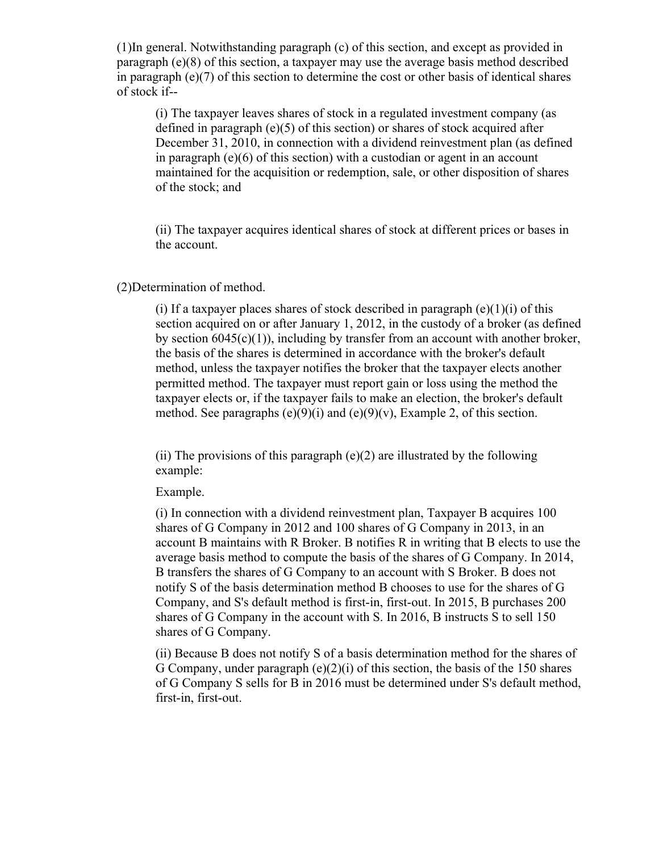(1)In general. Notwithstanding paragraph (c) of this section, and except as provided in paragraph (e)(8) of this section, a taxpayer may use the average basis method described in paragraph  $(e)(7)$  of this section to determine the cost or other basis of identical shares of stock if--

(i) The taxpayer leaves shares of stock in a regulated investment company (as defined in paragraph (e)(5) of this section) or shares of stock acquired after December 31, 2010, in connection with a dividend reinvestment plan (as defined in paragraph (e)(6) of this section) with a custodian or agent in an account maintained for the acquisition or redemption, sale, or other disposition of shares of the stock; and

(ii) The taxpayer acquires identical shares of stock at different prices or bases in the account.

#### (2)Determination of method.

(i) If a taxpayer places shares of stock described in paragraph  $(e)(1)(i)$  of this section acquired on or after January 1, 2012, in the custody of a broker (as defined by section  $6045(c)(1)$ , including by transfer from an account with another broker, the basis of the shares is determined in accordance with the broker's default method, unless the taxpayer notifies the broker that the taxpayer elects another permitted method. The taxpayer must report gain or loss using the method the taxpayer elects or, if the taxpayer fails to make an election, the broker's default method. See paragraphs  $(e)(9)(i)$  and  $(e)(9)(v)$ , Example 2, of this section.

(ii) The provisions of this paragraph  $(e)(2)$  are illustrated by the following example:

## Example.

(i) In connection with a dividend reinvestment plan, Taxpayer B acquires 100 shares of G Company in 2012 and 100 shares of G Company in 2013, in an account B maintains with R Broker. B notifies R in writing that B elects to use the average basis method to compute the basis of the shares of G Company. In 2014, B transfers the shares of G Company to an account with S Broker. B does not notify S of the basis determination method B chooses to use for the shares of G Company, and S's default method is first-in, first-out. In 2015, B purchases 200 shares of G Company in the account with S. In 2016, B instructs S to sell 150 shares of G Company.

(ii) Because B does not notify S of a basis determination method for the shares of G Company, under paragraph  $(e)(2)(i)$  of this section, the basis of the 150 shares of G Company S sells for B in 2016 must be determined under S's default method, first-in, first-out.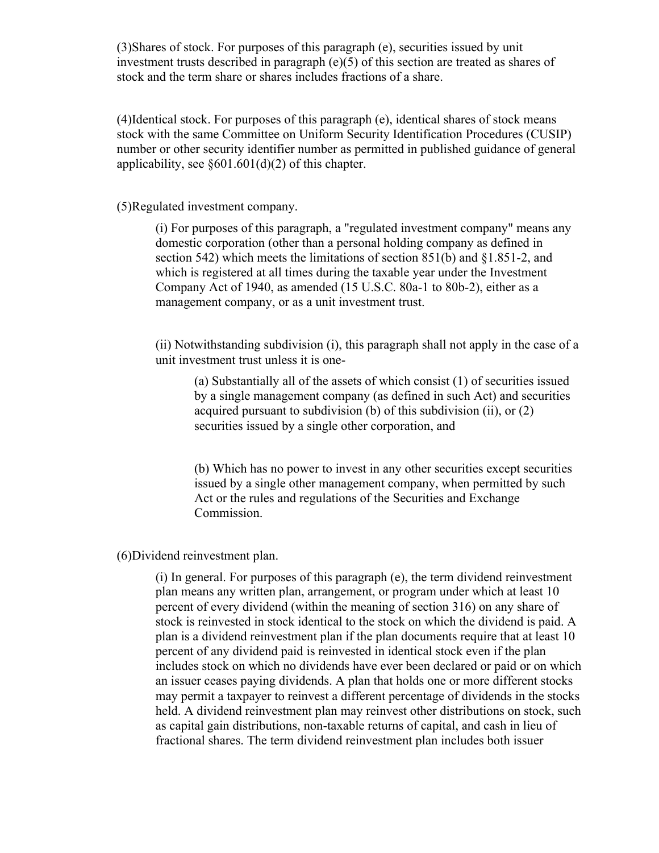(3)Shares of stock. For purposes of this paragraph (e), securities issued by unit investment trusts described in paragraph  $(e)(5)$  of this section are treated as shares of stock and the term share or shares includes fractions of a share.

(4)Identical stock. For purposes of this paragraph (e), identical shares of stock means stock with the same Committee on Uniform Security Identification Procedures (CUSIP) number or other security identifier number as permitted in published guidance of general applicability, see  $\S 601.601(d)(2)$  of this chapter.

(5)Regulated investment company.

(i) For purposes of this paragraph, a "regulated investment company" means any domestic corporation (other than a personal holding company as defined in section 542) which meets the limitations of section 851(b) and §1.851-2, and which is registered at all times during the taxable year under the Investment Company Act of 1940, as amended (15 U.S.C. 80a-1 to 80b-2), either as a management company, or as a unit investment trust.

(ii) Notwithstanding subdivision (i), this paragraph shall not apply in the case of a unit investment trust unless it is one-

(a) Substantially all of the assets of which consist (1) of securities issued by a single management company (as defined in such Act) and securities acquired pursuant to subdivision (b) of this subdivision (ii), or (2) securities issued by a single other corporation, and

(b) Which has no power to invest in any other securities except securities issued by a single other management company, when permitted by such Act or the rules and regulations of the Securities and Exchange Commission.

(6)Dividend reinvestment plan.

(i) In general. For purposes of this paragraph (e), the term dividend reinvestment plan means any written plan, arrangement, or program under which at least 10 percent of every dividend (within the meaning of section 316) on any share of stock is reinvested in stock identical to the stock on which the dividend is paid. A plan is a dividend reinvestment plan if the plan documents require that at least 10 percent of any dividend paid is reinvested in identical stock even if the plan includes stock on which no dividends have ever been declared or paid or on which an issuer ceases paying dividends. A plan that holds one or more different stocks may permit a taxpayer to reinvest a different percentage of dividends in the stocks held. A dividend reinvestment plan may reinvest other distributions on stock, such as capital gain distributions, non-taxable returns of capital, and cash in lieu of fractional shares. The term dividend reinvestment plan includes both issuer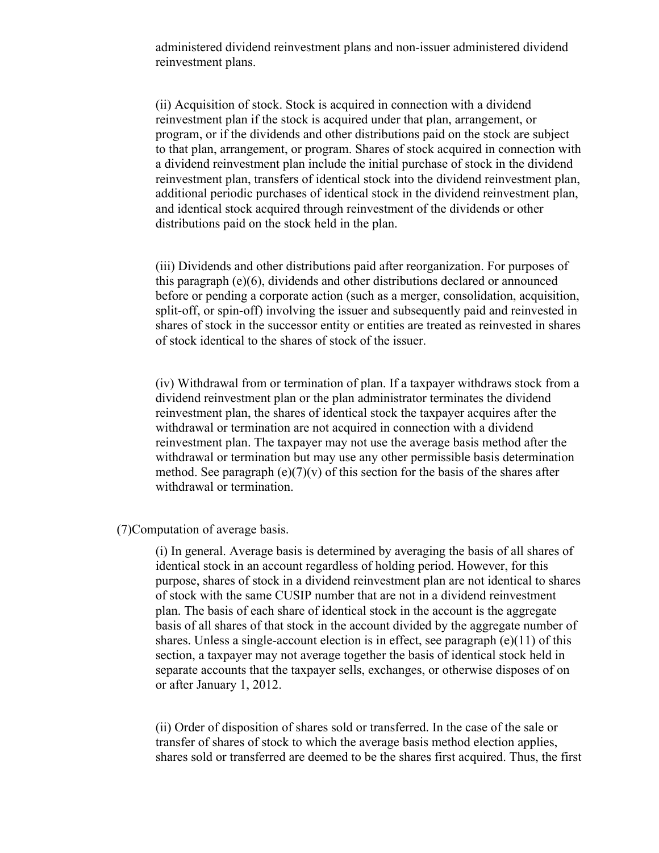administered dividend reinvestment plans and non-issuer administered dividend reinvestment plans.

(ii) Acquisition of stock. Stock is acquired in connection with a dividend reinvestment plan if the stock is acquired under that plan, arrangement, or program, or if the dividends and other distributions paid on the stock are subject to that plan, arrangement, or program. Shares of stock acquired in connection with a dividend reinvestment plan include the initial purchase of stock in the dividend reinvestment plan, transfers of identical stock into the dividend reinvestment plan, additional periodic purchases of identical stock in the dividend reinvestment plan, and identical stock acquired through reinvestment of the dividends or other distributions paid on the stock held in the plan.

(iii) Dividends and other distributions paid after reorganization. For purposes of this paragraph (e)(6), dividends and other distributions declared or announced before or pending a corporate action (such as a merger, consolidation, acquisition, split-off, or spin-off) involving the issuer and subsequently paid and reinvested in shares of stock in the successor entity or entities are treated as reinvested in shares of stock identical to the shares of stock of the issuer.

(iv) Withdrawal from or termination of plan. If a taxpayer withdraws stock from a dividend reinvestment plan or the plan administrator terminates the dividend reinvestment plan, the shares of identical stock the taxpayer acquires after the withdrawal or termination are not acquired in connection with a dividend reinvestment plan. The taxpayer may not use the average basis method after the withdrawal or termination but may use any other permissible basis determination method. See paragraph (e)(7)(v) of this section for the basis of the shares after withdrawal or termination.

(7)Computation of average basis.

(i) In general. Average basis is determined by averaging the basis of all shares of identical stock in an account regardless of holding period. However, for this purpose, shares of stock in a dividend reinvestment plan are not identical to shares of stock with the same CUSIP number that are not in a dividend reinvestment plan. The basis of each share of identical stock in the account is the aggregate basis of all shares of that stock in the account divided by the aggregate number of shares. Unless a single-account election is in effect, see paragraph  $(e)(11)$  of this section, a taxpayer may not average together the basis of identical stock held in separate accounts that the taxpayer sells, exchanges, or otherwise disposes of on or after January 1, 2012.

(ii) Order of disposition of shares sold or transferred. In the case of the sale or transfer of shares of stock to which the average basis method election applies, shares sold or transferred are deemed to be the shares first acquired. Thus, the first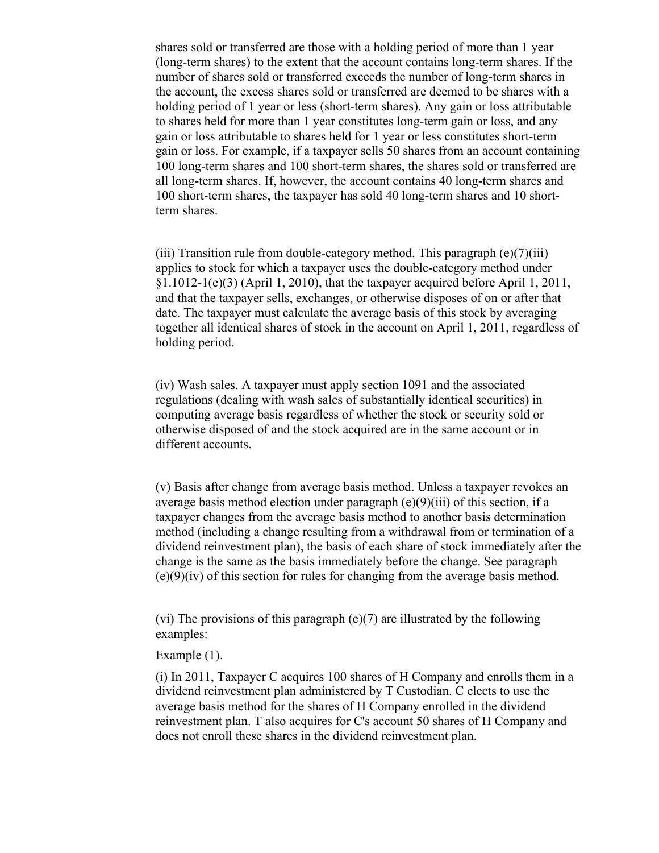shares sold or transferred are those with a holding period of more than 1 year (long-term shares) to the extent that the account contains long-term shares. If the number of shares sold or transferred exceeds the number of long-term shares in the account, the excess shares sold or transferred are deemed to be shares with a holding period of 1 year or less (short-term shares). Any gain or loss attributable to shares held for more than 1 year constitutes long-term gain or loss, and any gain or loss attributable to shares held for 1 year or less constitutes short-term gain or loss. For example, if a taxpayer sells 50 shares from an account containing 100 long-term shares and 100 short-term shares, the shares sold or transferred are all long-term shares. If, however, the account contains 40 long-term shares and 100 short-term shares, the taxpayer has sold 40 long-term shares and 10 shortterm shares.

(iii) Transition rule from double-category method. This paragraph  $(e)(7)(iii)$ applies to stock for which a taxpayer uses the double-category method under  $\S1.1012-1(e)(3)$  (April 1, 2010), that the taxpayer acquired before April 1, 2011, and that the taxpayer sells, exchanges, or otherwise disposes of on or after that date. The taxpayer must calculate the average basis of this stock by averaging together all identical shares of stock in the account on April 1, 2011, regardless of holding period.

(iv) Wash sales. A taxpayer must apply section 1091 and the associated regulations (dealing with wash sales of substantially identical securities) in computing average basis regardless of whether the stock or security sold or otherwise disposed of and the stock acquired are in the same account or in different accounts.

(v) Basis after change from average basis method. Unless a taxpayer revokes an average basis method election under paragraph (e)(9)(iii) of this section, if a taxpayer changes from the average basis method to another basis determination method (including a change resulting from a withdrawal from or termination of a dividend reinvestment plan), the basis of each share of stock immediately after the change is the same as the basis immediately before the change. See paragraph  $(e)(9)(iv)$  of this section for rules for changing from the average basis method.

(vi) The provisions of this paragraph (e)(7) are illustrated by the following examples:

## Example (1).

(i) In 2011, Taxpayer C acquires 100 shares of H Company and enrolls them in a dividend reinvestment plan administered by T Custodian. C elects to use the average basis method for the shares of H Company enrolled in the dividend reinvestment plan. T also acquires for C's account 50 shares of H Company and does not enroll these shares in the dividend reinvestment plan.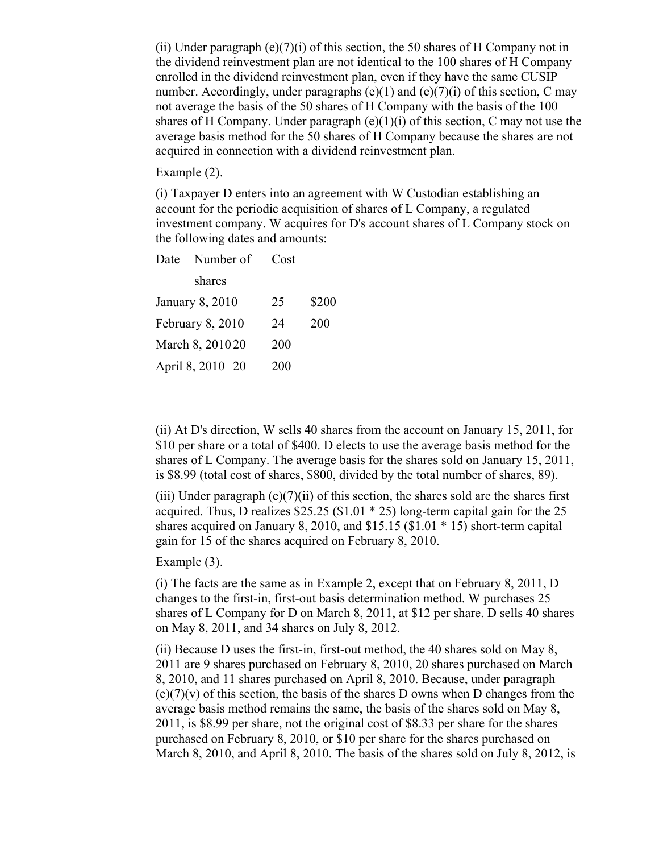(ii) Under paragraph  $(e)(7)(i)$  of this section, the 50 shares of H Company not in the dividend reinvestment plan are not identical to the 100 shares of H Company enrolled in the dividend reinvestment plan, even if they have the same CUSIP number. Accordingly, under paragraphs  $(e)(1)$  and  $(e)(7)(i)$  of this section, C may not average the basis of the 50 shares of H Company with the basis of the 100 shares of H Company. Under paragraph  $(e)(1)(i)$  of this section, C may not use the average basis method for the 50 shares of H Company because the shares are not acquired in connection with a dividend reinvestment plan.

Example (2).

(i) Taxpayer D enters into an agreement with W Custodian establishing an account for the periodic acquisition of shares of L Company, a regulated investment company. W acquires for D's account shares of L Company stock on the following dates and amounts:

|                        | Date Number of | Cost |       |
|------------------------|----------------|------|-------|
|                        | shares         |      |       |
| <b>January 8, 2010</b> |                | 25   | \$200 |
| February 8, 2010       |                | 24   | 200   |
| March 8, 201020        |                | 200  |       |
| April 8, 2010 20       |                | 200  |       |

(ii) At D's direction, W sells 40 shares from the account on January 15, 2011, for \$10 per share or a total of \$400. D elects to use the average basis method for the shares of L Company. The average basis for the shares sold on January 15, 2011, is \$8.99 (total cost of shares, \$800, divided by the total number of shares, 89).

(iii) Under paragraph  $(e)(7)(ii)$  of this section, the shares sold are the shares first acquired. Thus, D realizes  $$25.25$  ( $$1.01 * 25$ ) long-term capital gain for the 25 shares acquired on January 8, 2010, and \$15.15 (\$1.01 \* 15) short-term capital gain for 15 of the shares acquired on February 8, 2010.

Example (3).

(i) The facts are the same as in Example 2, except that on February 8, 2011, D changes to the first-in, first-out basis determination method. W purchases 25 shares of L Company for D on March 8, 2011, at \$12 per share. D sells 40 shares on May 8, 2011, and 34 shares on July 8, 2012.

(ii) Because D uses the first-in, first-out method, the 40 shares sold on May 8, 2011 are 9 shares purchased on February 8, 2010, 20 shares purchased on March 8, 2010, and 11 shares purchased on April 8, 2010. Because, under paragraph  $(e)(7)(v)$  of this section, the basis of the shares D owns when D changes from the average basis method remains the same, the basis of the shares sold on May 8, 2011, is \$8.99 per share, not the original cost of \$8.33 per share for the shares purchased on February 8, 2010, or \$10 per share for the shares purchased on March 8, 2010, and April 8, 2010. The basis of the shares sold on July 8, 2012, is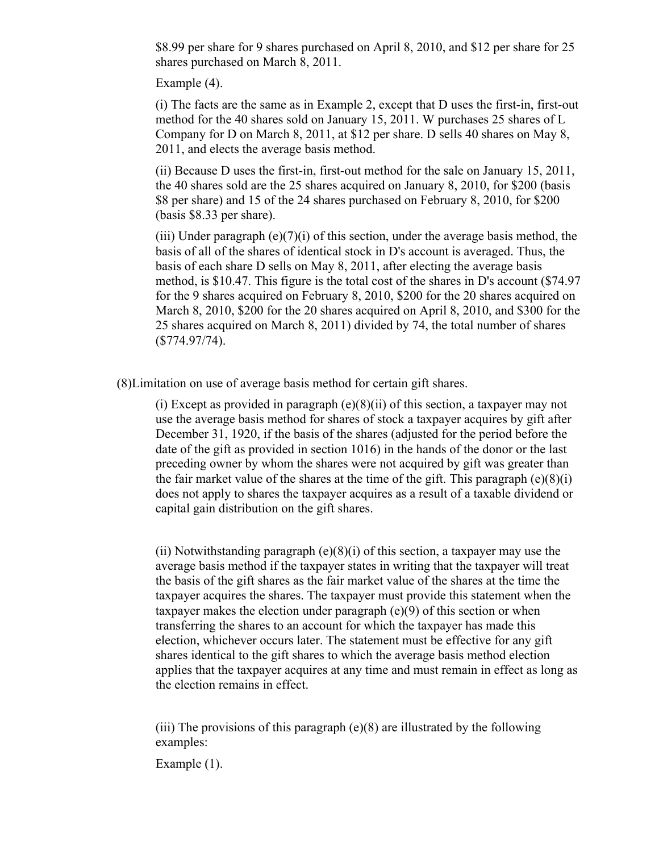\$8.99 per share for 9 shares purchased on April 8, 2010, and \$12 per share for 25 shares purchased on March 8, 2011.

Example (4).

(i) The facts are the same as in Example 2, except that D uses the first-in, first-out method for the 40 shares sold on January 15, 2011. W purchases 25 shares of L Company for D on March 8, 2011, at \$12 per share. D sells 40 shares on May 8, 2011, and elects the average basis method.

(ii) Because D uses the first-in, first-out method for the sale on January 15, 2011, the 40 shares sold are the 25 shares acquired on January 8, 2010, for \$200 (basis \$8 per share) and 15 of the 24 shares purchased on February 8, 2010, for \$200 (basis \$8.33 per share).

(iii) Under paragraph  $(e)(7)(i)$  of this section, under the average basis method, the basis of all of the shares of identical stock in D's account is averaged. Thus, the basis of each share D sells on May 8, 2011, after electing the average basis method, is \$10.47. This figure is the total cost of the shares in D's account (\$74.97 for the 9 shares acquired on February 8, 2010, \$200 for the 20 shares acquired on March 8, 2010, \$200 for the 20 shares acquired on April 8, 2010, and \$300 for the 25 shares acquired on March 8, 2011) divided by 74, the total number of shares (\$774.97/74).

(8)Limitation on use of average basis method for certain gift shares.

(i) Except as provided in paragraph  $(e)(8)(ii)$  of this section, a taxpayer may not use the average basis method for shares of stock a taxpayer acquires by gift after December 31, 1920, if the basis of the shares (adjusted for the period before the date of the gift as provided in section 1016) in the hands of the donor or the last preceding owner by whom the shares were not acquired by gift was greater than the fair market value of the shares at the time of the gift. This paragraph  $(e)(8)(i)$ does not apply to shares the taxpayer acquires as a result of a taxable dividend or capital gain distribution on the gift shares.

(ii) Notwithstanding paragraph  $(e)(8)(i)$  of this section, a taxpayer may use the average basis method if the taxpayer states in writing that the taxpayer will treat the basis of the gift shares as the fair market value of the shares at the time the taxpayer acquires the shares. The taxpayer must provide this statement when the taxpayer makes the election under paragraph (e)(9) of this section or when transferring the shares to an account for which the taxpayer has made this election, whichever occurs later. The statement must be effective for any gift shares identical to the gift shares to which the average basis method election applies that the taxpayer acquires at any time and must remain in effect as long as the election remains in effect.

(iii) The provisions of this paragraph (e)(8) are illustrated by the following examples:

Example (1).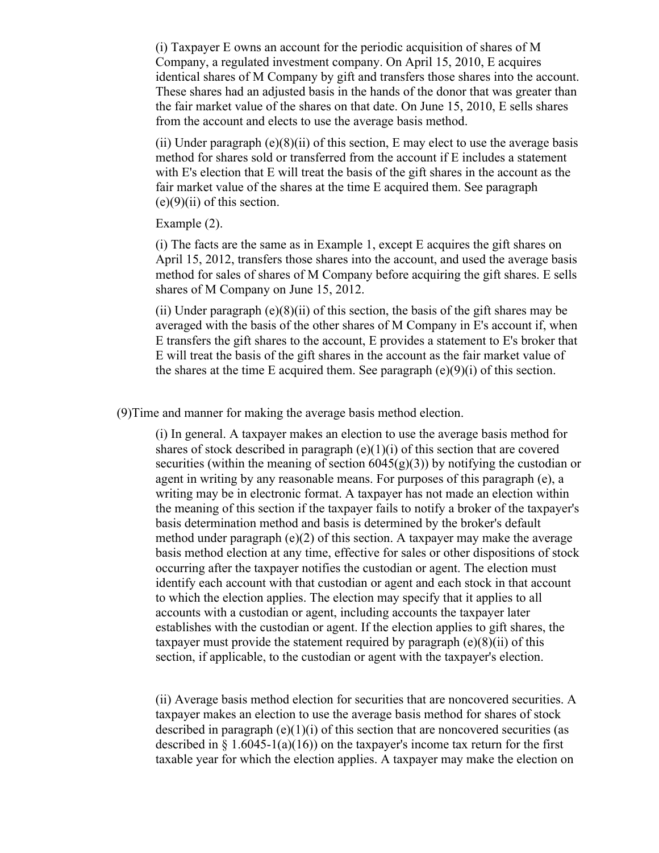(i) Taxpayer E owns an account for the periodic acquisition of shares of M Company, a regulated investment company. On April 15, 2010, E acquires identical shares of M Company by gift and transfers those shares into the account. These shares had an adjusted basis in the hands of the donor that was greater than the fair market value of the shares on that date. On June 15, 2010, E sells shares from the account and elects to use the average basis method.

(ii) Under paragraph  $(e)(8)(ii)$  of this section, E may elect to use the average basis method for shares sold or transferred from the account if E includes a statement with E's election that E will treat the basis of the gift shares in the account as the fair market value of the shares at the time E acquired them. See paragraph  $(e)(9)(ii)$  of this section.

Example (2).

(i) The facts are the same as in Example 1, except E acquires the gift shares on April 15, 2012, transfers those shares into the account, and used the average basis method for sales of shares of M Company before acquiring the gift shares. E sells shares of M Company on June 15, 2012.

(ii) Under paragraph  $(e)(8)(ii)$  of this section, the basis of the gift shares may be averaged with the basis of the other shares of M Company in E's account if, when E transfers the gift shares to the account, E provides a statement to E's broker that E will treat the basis of the gift shares in the account as the fair market value of the shares at the time E acquired them. See paragraph  $(e)(9)(i)$  of this section.

(9)Time and manner for making the average basis method election.

(i) In general. A taxpayer makes an election to use the average basis method for shares of stock described in paragraph (e)(1)(i) of this section that are covered securities (within the meaning of section  $6045(g)(3)$ ) by notifying the custodian or agent in writing by any reasonable means. For purposes of this paragraph (e), a writing may be in electronic format. A taxpayer has not made an election within the meaning of this section if the taxpayer fails to notify a broker of the taxpayer's basis determination method and basis is determined by the broker's default method under paragraph (e)(2) of this section. A taxpayer may make the average basis method election at any time, effective for sales or other dispositions of stock occurring after the taxpayer notifies the custodian or agent. The election must identify each account with that custodian or agent and each stock in that account to which the election applies. The election may specify that it applies to all accounts with a custodian or agent, including accounts the taxpayer later establishes with the custodian or agent. If the election applies to gift shares, the taxpayer must provide the statement required by paragraph  $(e)(8)(ii)$  of this section, if applicable, to the custodian or agent with the taxpayer's election.

(ii) Average basis method election for securities that are noncovered securities. A taxpayer makes an election to use the average basis method for shares of stock described in paragraph  $(e)(1)(i)$  of this section that are noncovered securities (as described in  $\S 1.6045-1(a)(16)$  on the taxpayer's income tax return for the first taxable year for which the election applies. A taxpayer may make the election on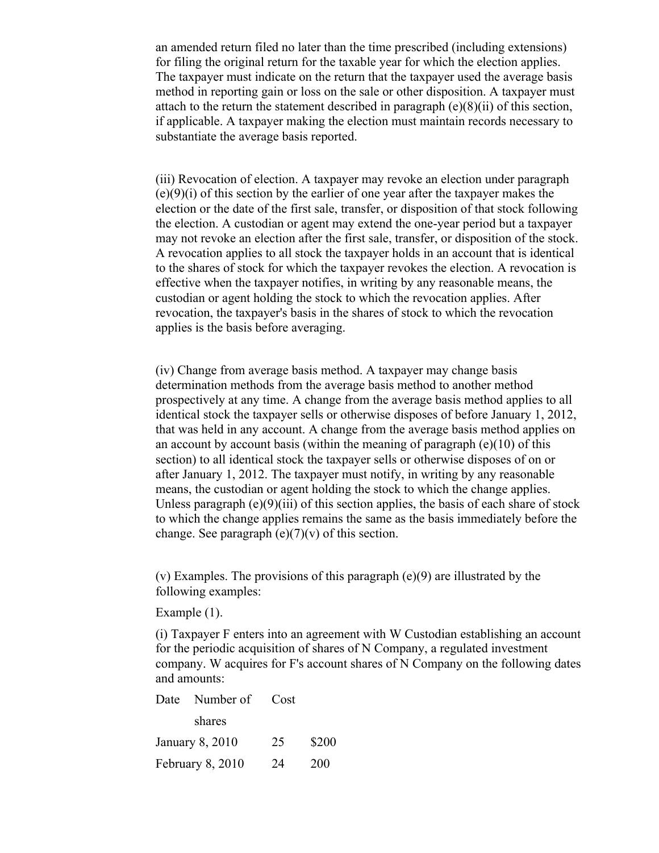an amended return filed no later than the time prescribed (including extensions) for filing the original return for the taxable year for which the election applies. The taxpayer must indicate on the return that the taxpayer used the average basis method in reporting gain or loss on the sale or other disposition. A taxpayer must attach to the return the statement described in paragraph (e)(8)(ii) of this section, if applicable. A taxpayer making the election must maintain records necessary to substantiate the average basis reported.

(iii) Revocation of election. A taxpayer may revoke an election under paragraph (e)(9)(i) of this section by the earlier of one year after the taxpayer makes the election or the date of the first sale, transfer, or disposition of that stock following the election. A custodian or agent may extend the one-year period but a taxpayer may not revoke an election after the first sale, transfer, or disposition of the stock. A revocation applies to all stock the taxpayer holds in an account that is identical to the shares of stock for which the taxpayer revokes the election. A revocation is effective when the taxpayer notifies, in writing by any reasonable means, the custodian or agent holding the stock to which the revocation applies. After revocation, the taxpayer's basis in the shares of stock to which the revocation applies is the basis before averaging.

(iv) Change from average basis method. A taxpayer may change basis determination methods from the average basis method to another method prospectively at any time. A change from the average basis method applies to all identical stock the taxpayer sells or otherwise disposes of before January 1, 2012, that was held in any account. A change from the average basis method applies on an account by account basis (within the meaning of paragraph  $(e)(10)$  of this section) to all identical stock the taxpayer sells or otherwise disposes of on or after January 1, 2012. The taxpayer must notify, in writing by any reasonable means, the custodian or agent holding the stock to which the change applies. Unless paragraph  $(e)(9)(iii)$  of this section applies, the basis of each share of stock to which the change applies remains the same as the basis immediately before the change. See paragraph  $(e)(7)(v)$  of this section.

(v) Examples. The provisions of this paragraph (e)(9) are illustrated by the following examples:

Example (1).

(i) Taxpayer F enters into an agreement with W Custodian establishing an account for the periodic acquisition of shares of N Company, a regulated investment company. W acquires for F's account shares of N Company on the following dates and amounts:

|                  | Date Number of Cost |    |            |
|------------------|---------------------|----|------------|
|                  | shares              |    |            |
| January 8, 2010  |                     | 25 | \$200      |
| February 8, 2010 |                     | 24 | <b>200</b> |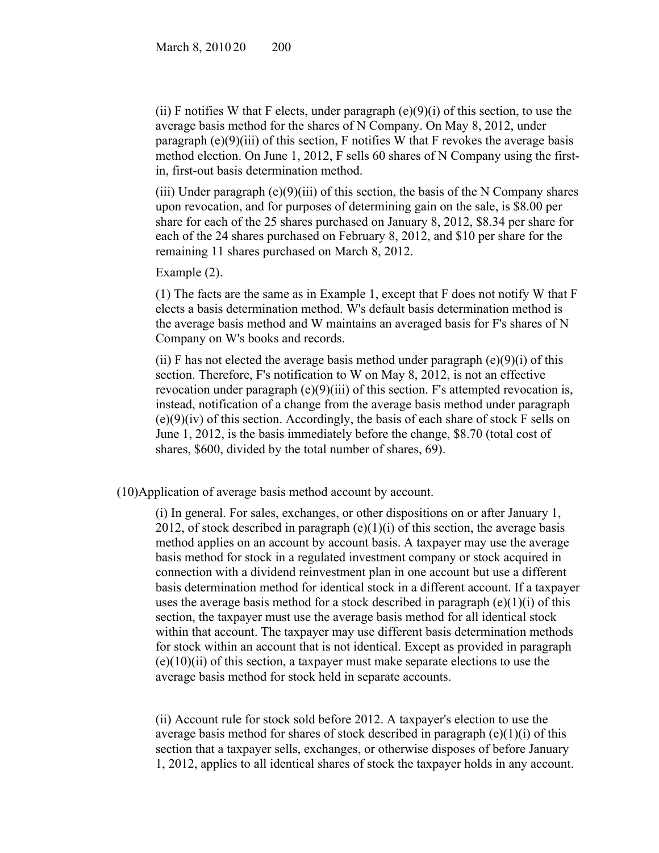(ii) F notifies W that F elects, under paragraph  $(e)(9)(i)$  of this section, to use the average basis method for the shares of N Company. On May 8, 2012, under paragraph  $(e)(9)(iii)$  of this section, F notifies W that F revokes the average basis method election. On June 1, 2012, F sells 60 shares of N Company using the firstin, first-out basis determination method.

(iii) Under paragraph (e)(9)(iii) of this section, the basis of the N Company shares upon revocation, and for purposes of determining gain on the sale, is \$8.00 per share for each of the 25 shares purchased on January 8, 2012, \$8.34 per share for each of the 24 shares purchased on February 8, 2012, and \$10 per share for the remaining 11 shares purchased on March 8, 2012.

Example (2).

(1) The facts are the same as in Example 1, except that F does not notify W that F elects a basis determination method. W's default basis determination method is the average basis method and W maintains an averaged basis for F's shares of N Company on W's books and records.

(ii) F has not elected the average basis method under paragraph  $(e)(9)(i)$  of this section. Therefore, F's notification to W on May 8, 2012, is not an effective revocation under paragraph (e)(9)(iii) of this section. F's attempted revocation is, instead, notification of a change from the average basis method under paragraph  $(e)(9)(iv)$  of this section. Accordingly, the basis of each share of stock F sells on June 1, 2012, is the basis immediately before the change, \$8.70 (total cost of shares, \$600, divided by the total number of shares, 69).

(10)Application of average basis method account by account.

(i) In general. For sales, exchanges, or other dispositions on or after January 1, 2012, of stock described in paragraph  $(e)(1)(i)$  of this section, the average basis method applies on an account by account basis. A taxpayer may use the average basis method for stock in a regulated investment company or stock acquired in connection with a dividend reinvestment plan in one account but use a different basis determination method for identical stock in a different account. If a taxpayer uses the average basis method for a stock described in paragraph  $(e)(1)(i)$  of this section, the taxpayer must use the average basis method for all identical stock within that account. The taxpayer may use different basis determination methods for stock within an account that is not identical. Except as provided in paragraph  $(e)(10)(ii)$  of this section, a taxpayer must make separate elections to use the average basis method for stock held in separate accounts.

(ii) Account rule for stock sold before 2012. A taxpayer's election to use the average basis method for shares of stock described in paragraph  $(e)(1)(i)$  of this section that a taxpayer sells, exchanges, or otherwise disposes of before January 1, 2012, applies to all identical shares of stock the taxpayer holds in any account.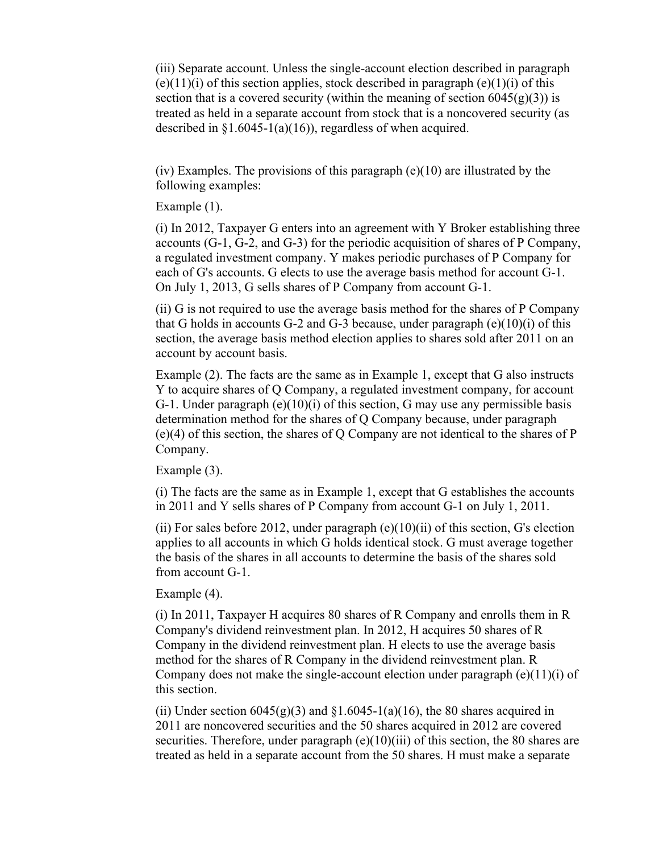(iii) Separate account. Unless the single-account election described in paragraph  $(e)(11)(i)$  of this section applies, stock described in paragraph  $(e)(1)(i)$  of this section that is a covered security (within the meaning of section  $6045(g)(3)$ ) is treated as held in a separate account from stock that is a noncovered security (as described in  $\S1.6045-1(a)(16)$ , regardless of when acquired.

(iv) Examples. The provisions of this paragraph  $(e)(10)$  are illustrated by the following examples:

Example (1).

(i) In 2012, Taxpayer G enters into an agreement with Y Broker establishing three accounts (G-1, G-2, and G-3) for the periodic acquisition of shares of P Company, a regulated investment company. Y makes periodic purchases of P Company for each of G's accounts. G elects to use the average basis method for account G-1. On July 1, 2013, G sells shares of P Company from account G-1.

(ii) G is not required to use the average basis method for the shares of P Company that G holds in accounts G-2 and G-3 because, under paragraph  $(e)(10)(i)$  of this section, the average basis method election applies to shares sold after 2011 on an account by account basis.

Example (2). The facts are the same as in Example 1, except that G also instructs Y to acquire shares of Q Company, a regulated investment company, for account G-1. Under paragraph (e)(10)(i) of this section, G may use any permissible basis determination method for the shares of Q Company because, under paragraph (e)(4) of this section, the shares of Q Company are not identical to the shares of P Company.

Example (3).

(i) The facts are the same as in Example 1, except that G establishes the accounts in 2011 and Y sells shares of P Company from account G-1 on July 1, 2011.

(ii) For sales before 2012, under paragraph  $(e)(10)(ii)$  of this section, G's election applies to all accounts in which G holds identical stock. G must average together the basis of the shares in all accounts to determine the basis of the shares sold from account G-1.

Example (4).

(i) In 2011, Taxpayer H acquires 80 shares of R Company and enrolls them in R Company's dividend reinvestment plan. In 2012, H acquires 50 shares of R Company in the dividend reinvestment plan. H elects to use the average basis method for the shares of R Company in the dividend reinvestment plan. R Company does not make the single-account election under paragraph (e)(11)(i) of this section.

(ii) Under section  $6045(g)(3)$  and  $§1.6045-1(a)(16)$ , the 80 shares acquired in 2011 are noncovered securities and the 50 shares acquired in 2012 are covered securities. Therefore, under paragraph (e)(10)(iii) of this section, the 80 shares are treated as held in a separate account from the 50 shares. H must make a separate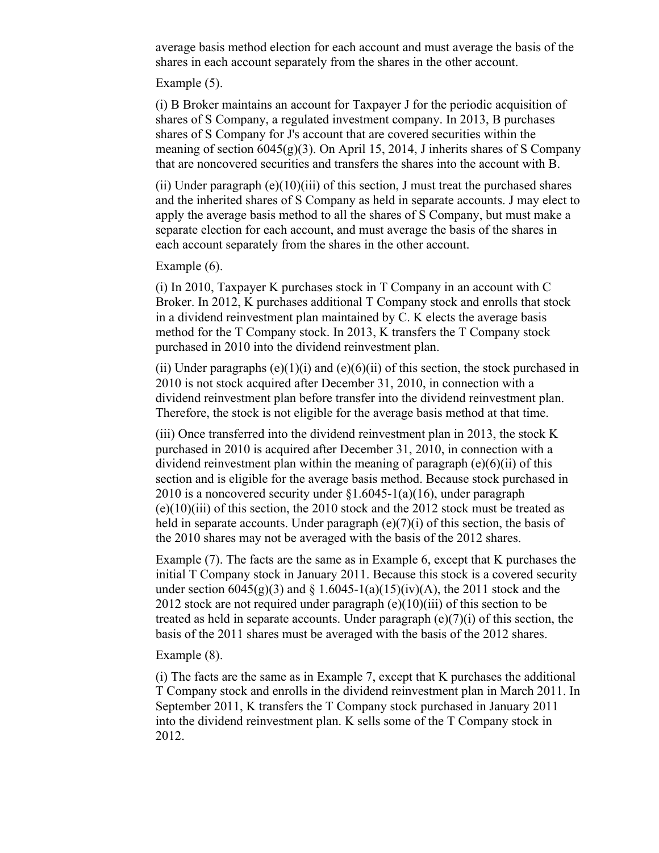average basis method election for each account and must average the basis of the shares in each account separately from the shares in the other account.

Example (5).

(i) B Broker maintains an account for Taxpayer J for the periodic acquisition of shares of S Company, a regulated investment company. In 2013, B purchases shares of S Company for J's account that are covered securities within the meaning of section  $6045(g)(3)$ . On April 15, 2014, J inherits shares of S Company that are noncovered securities and transfers the shares into the account with B.

(ii) Under paragraph (e)(10)(iii) of this section, J must treat the purchased shares and the inherited shares of S Company as held in separate accounts. J may elect to apply the average basis method to all the shares of S Company, but must make a separate election for each account, and must average the basis of the shares in each account separately from the shares in the other account.

Example (6).

(i) In 2010, Taxpayer K purchases stock in T Company in an account with C Broker. In 2012, K purchases additional T Company stock and enrolls that stock in a dividend reinvestment plan maintained by C. K elects the average basis method for the T Company stock. In 2013, K transfers the T Company stock purchased in 2010 into the dividend reinvestment plan.

(ii) Under paragraphs  $(e)(1)(i)$  and  $(e)(6)(ii)$  of this section, the stock purchased in 2010 is not stock acquired after December 31, 2010, in connection with a dividend reinvestment plan before transfer into the dividend reinvestment plan. Therefore, the stock is not eligible for the average basis method at that time.

(iii) Once transferred into the dividend reinvestment plan in 2013, the stock K purchased in 2010 is acquired after December 31, 2010, in connection with a dividend reinvestment plan within the meaning of paragraph  $(e)(6)(ii)$  of this section and is eligible for the average basis method. Because stock purchased in 2010 is a noncovered security under  $\S1.6045-1(a)(16)$ , under paragraph  $(e)(10)(iii)$  of this section, the 2010 stock and the 2012 stock must be treated as held in separate accounts. Under paragraph  $(e)(7)(i)$  of this section, the basis of the 2010 shares may not be averaged with the basis of the 2012 shares.

Example (7). The facts are the same as in Example 6, except that K purchases the initial T Company stock in January 2011. Because this stock is a covered security under section  $6045(g)(3)$  and  $\S 1.6045-1(a)(15)(iv)(A)$ , the 2011 stock and the 2012 stock are not required under paragraph  $(e)(10)(iii)$  of this section to be treated as held in separate accounts. Under paragraph (e)(7)(i) of this section, the basis of the 2011 shares must be averaged with the basis of the 2012 shares.

Example (8).

(i) The facts are the same as in Example 7, except that K purchases the additional T Company stock and enrolls in the dividend reinvestment plan in March 2011. In September 2011, K transfers the T Company stock purchased in January 2011 into the dividend reinvestment plan. K sells some of the T Company stock in 2012.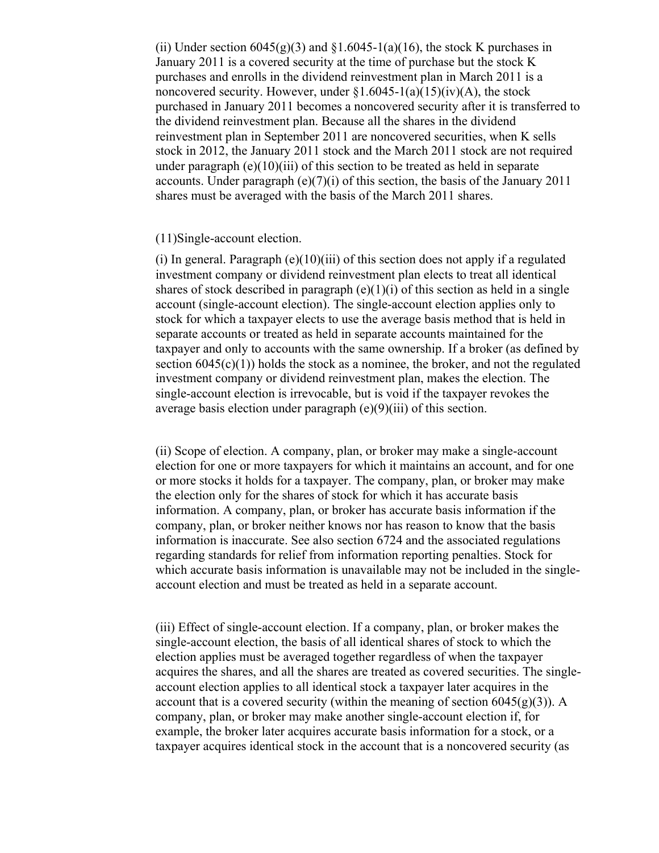(ii) Under section  $6045(g)(3)$  and  $$1.6045-1(a)(16)$ , the stock K purchases in January 2011 is a covered security at the time of purchase but the stock K purchases and enrolls in the dividend reinvestment plan in March 2011 is a noncovered security. However, under  $\S1.6045-1(a)(15)(iv)(A)$ , the stock purchased in January 2011 becomes a noncovered security after it is transferred to the dividend reinvestment plan. Because all the shares in the dividend reinvestment plan in September 2011 are noncovered securities, when K sells stock in 2012, the January 2011 stock and the March 2011 stock are not required under paragraph  $(e)(10)(iii)$  of this section to be treated as held in separate accounts. Under paragraph  $(e)(7)(i)$  of this section, the basis of the January 2011 shares must be averaged with the basis of the March 2011 shares.

### (11)Single-account election.

(i) In general. Paragraph  $(e)(10)(iii)$  of this section does not apply if a regulated investment company or dividend reinvestment plan elects to treat all identical shares of stock described in paragraph  $(e)(1)(i)$  of this section as held in a single account (single-account election). The single-account election applies only to stock for which a taxpayer elects to use the average basis method that is held in separate accounts or treated as held in separate accounts maintained for the taxpayer and only to accounts with the same ownership. If a broker (as defined by section  $6045(c)(1)$ ) holds the stock as a nominee, the broker, and not the regulated investment company or dividend reinvestment plan, makes the election. The single-account election is irrevocable, but is void if the taxpayer revokes the average basis election under paragraph (e)(9)(iii) of this section.

(ii) Scope of election. A company, plan, or broker may make a single-account election for one or more taxpayers for which it maintains an account, and for one or more stocks it holds for a taxpayer. The company, plan, or broker may make the election only for the shares of stock for which it has accurate basis information. A company, plan, or broker has accurate basis information if the company, plan, or broker neither knows nor has reason to know that the basis information is inaccurate. See also section 6724 and the associated regulations regarding standards for relief from information reporting penalties. Stock for which accurate basis information is unavailable may not be included in the singleaccount election and must be treated as held in a separate account.

(iii) Effect of single-account election. If a company, plan, or broker makes the single-account election, the basis of all identical shares of stock to which the election applies must be averaged together regardless of when the taxpayer acquires the shares, and all the shares are treated as covered securities. The singleaccount election applies to all identical stock a taxpayer later acquires in the account that is a covered security (within the meaning of section  $6045(g)(3)$ ). A company, plan, or broker may make another single-account election if, for example, the broker later acquires accurate basis information for a stock, or a taxpayer acquires identical stock in the account that is a noncovered security (as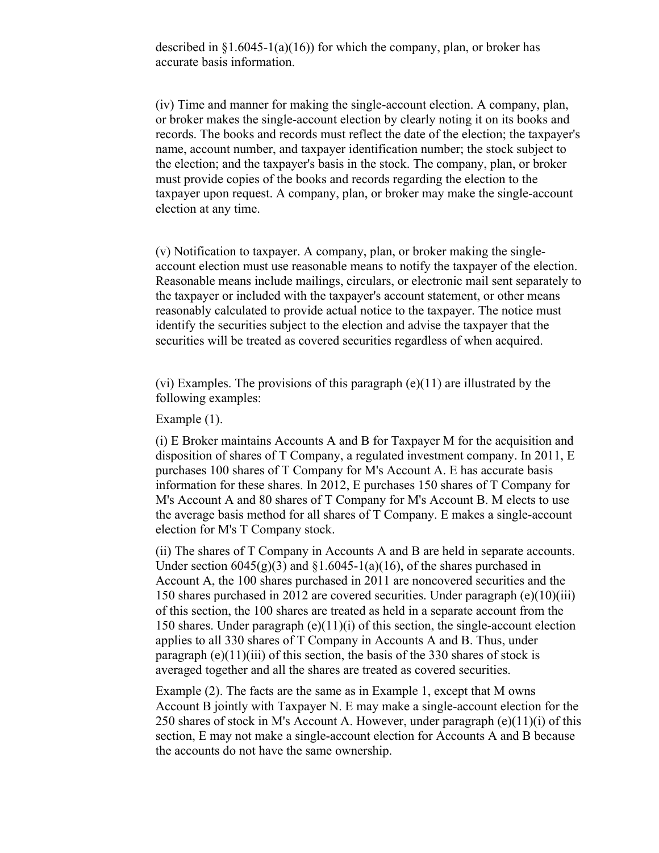described in  $\S1.6045-1(a)(16)$  for which the company, plan, or broker has accurate basis information.

(iv) Time and manner for making the single-account election. A company, plan, or broker makes the single-account election by clearly noting it on its books and records. The books and records must reflect the date of the election; the taxpayer's name, account number, and taxpayer identification number; the stock subject to the election; and the taxpayer's basis in the stock. The company, plan, or broker must provide copies of the books and records regarding the election to the taxpayer upon request. A company, plan, or broker may make the single-account election at any time.

(v) Notification to taxpayer. A company, plan, or broker making the singleaccount election must use reasonable means to notify the taxpayer of the election. Reasonable means include mailings, circulars, or electronic mail sent separately to the taxpayer or included with the taxpayer's account statement, or other means reasonably calculated to provide actual notice to the taxpayer. The notice must identify the securities subject to the election and advise the taxpayer that the securities will be treated as covered securities regardless of when acquired.

(vi) Examples. The provisions of this paragraph (e)(11) are illustrated by the following examples:

Example (1).

(i) E Broker maintains Accounts A and B for Taxpayer M for the acquisition and disposition of shares of T Company, a regulated investment company. In 2011, E purchases 100 shares of T Company for M's Account A. E has accurate basis information for these shares. In 2012, E purchases 150 shares of T Company for M's Account A and 80 shares of T Company for M's Account B. M elects to use the average basis method for all shares of T Company. E makes a single-account election for M's T Company stock.

(ii) The shares of T Company in Accounts A and B are held in separate accounts. Under section  $6045(g)(3)$  and  $\S1.6045-1(a)(16)$ , of the shares purchased in Account A, the 100 shares purchased in 2011 are noncovered securities and the 150 shares purchased in 2012 are covered securities. Under paragraph (e)(10)(iii) of this section, the 100 shares are treated as held in a separate account from the 150 shares. Under paragraph  $(e)(11)(i)$  of this section, the single-account election applies to all 330 shares of T Company in Accounts A and B. Thus, under paragraph (e)(11)(iii) of this section, the basis of the 330 shares of stock is averaged together and all the shares are treated as covered securities.

Example (2). The facts are the same as in Example 1, except that M owns Account B jointly with Taxpayer N. E may make a single-account election for the 250 shares of stock in M's Account A. However, under paragraph  $(e)(11)(i)$  of this section, E may not make a single-account election for Accounts A and B because the accounts do not have the same ownership.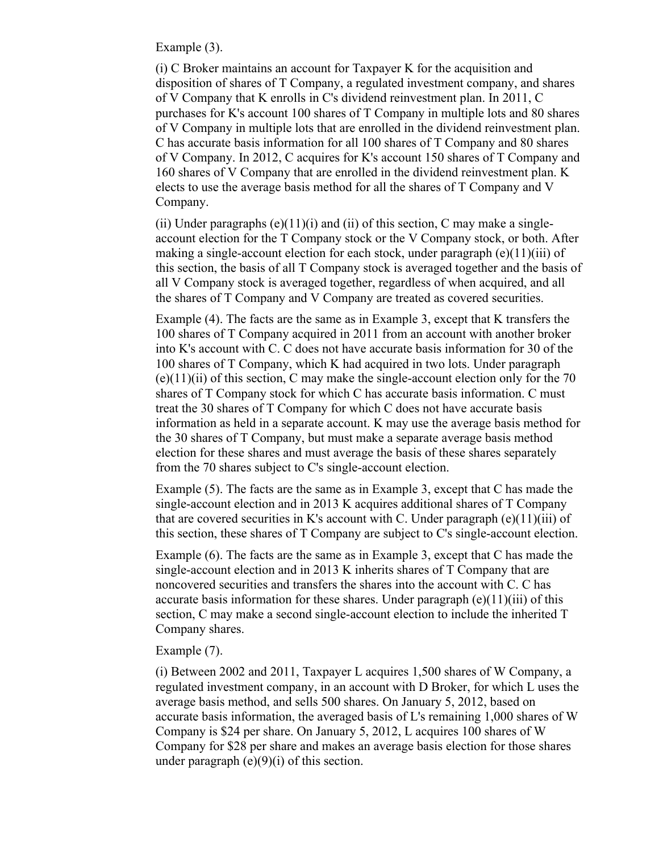Example (3).

(i) C Broker maintains an account for Taxpayer K for the acquisition and disposition of shares of T Company, a regulated investment company, and shares of V Company that K enrolls in C's dividend reinvestment plan. In 2011, C purchases for K's account 100 shares of T Company in multiple lots and 80 shares of V Company in multiple lots that are enrolled in the dividend reinvestment plan. C has accurate basis information for all 100 shares of T Company and 80 shares of V Company. In 2012, C acquires for K's account 150 shares of T Company and 160 shares of V Company that are enrolled in the dividend reinvestment plan. K elects to use the average basis method for all the shares of T Company and V Company.

(ii) Under paragraphs (e)(11)(i) and (ii) of this section, C may make a singleaccount election for the T Company stock or the V Company stock, or both. After making a single-account election for each stock, under paragraph  $(e)(11)(iii)$  of this section, the basis of all T Company stock is averaged together and the basis of all V Company stock is averaged together, regardless of when acquired, and all the shares of T Company and V Company are treated as covered securities.

Example (4). The facts are the same as in Example 3, except that K transfers the 100 shares of T Company acquired in 2011 from an account with another broker into K's account with C. C does not have accurate basis information for 30 of the 100 shares of T Company, which K had acquired in two lots. Under paragraph  $(e)(11)(ii)$  of this section, C may make the single-account election only for the 70 shares of T Company stock for which C has accurate basis information. C must treat the 30 shares of T Company for which C does not have accurate basis information as held in a separate account. K may use the average basis method for the 30 shares of T Company, but must make a separate average basis method election for these shares and must average the basis of these shares separately from the 70 shares subject to C's single-account election.

Example (5). The facts are the same as in Example 3, except that C has made the single-account election and in 2013 K acquires additional shares of T Company that are covered securities in K's account with C. Under paragraph  $(e)(11)(iii)$  of this section, these shares of T Company are subject to C's single-account election.

Example (6). The facts are the same as in Example 3, except that C has made the single-account election and in 2013 K inherits shares of T Company that are noncovered securities and transfers the shares into the account with C. C has accurate basis information for these shares. Under paragraph (e) $(11)(iii)$  of this section, C may make a second single-account election to include the inherited T Company shares.

### Example (7).

(i) Between 2002 and 2011, Taxpayer L acquires 1,500 shares of W Company, a regulated investment company, in an account with D Broker, for which L uses the average basis method, and sells 500 shares. On January 5, 2012, based on accurate basis information, the averaged basis of L's remaining 1,000 shares of W Company is \$24 per share. On January 5, 2012, L acquires 100 shares of W Company for \$28 per share and makes an average basis election for those shares under paragraph  $(e)(9)(i)$  of this section.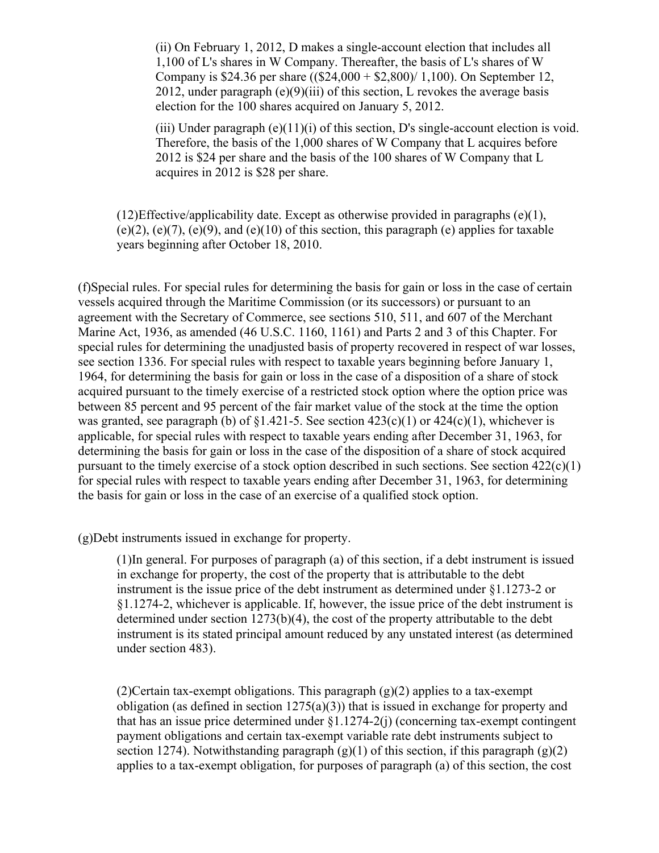(ii) On February 1, 2012, D makes a single-account election that includes all 1,100 of L's shares in W Company. Thereafter, the basis of L's shares of W Company is \$24.36 per share ((\$24,000 + \$2,800)/ 1,100). On September 12, 2012, under paragraph  $(e)(9)(iii)$  of this section, L revokes the average basis election for the 100 shares acquired on January 5, 2012.

(iii) Under paragraph (e)(11)(i) of this section, D's single-account election is void. Therefore, the basis of the 1,000 shares of W Company that L acquires before 2012 is \$24 per share and the basis of the 100 shares of W Company that L acquires in 2012 is \$28 per share.

 $(12)$ Effective/applicability date. Except as otherwise provided in paragraphs (e)(1),  $(e)(2)$ ,  $(e)(7)$ ,  $(e)(9)$ , and  $(e)(10)$  of this section, this paragraph  $(e)$  applies for taxable years beginning after October 18, 2010.

(f)Special rules. For special rules for determining the basis for gain or loss in the case of certain vessels acquired through the Maritime Commission (or its successors) or pursuant to an agreement with the Secretary of Commerce, see sections 510, 511, and 607 of the Merchant Marine Act, 1936, as amended (46 U.S.C. 1160, 1161) and Parts 2 and 3 of this Chapter. For special rules for determining the unadjusted basis of property recovered in respect of war losses, see section 1336. For special rules with respect to taxable years beginning before January 1, 1964, for determining the basis for gain or loss in the case of a disposition of a share of stock acquired pursuant to the timely exercise of a restricted stock option where the option price was between 85 percent and 95 percent of the fair market value of the stock at the time the option was granted, see paragraph (b) of  $\S1.421-5$ . See section  $423(c)(1)$  or  $424(c)(1)$ , whichever is applicable, for special rules with respect to taxable years ending after December 31, 1963, for determining the basis for gain or loss in the case of the disposition of a share of stock acquired pursuant to the timely exercise of a stock option described in such sections. See section  $422(c)(1)$ for special rules with respect to taxable years ending after December 31, 1963, for determining the basis for gain or loss in the case of an exercise of a qualified stock option.

(g)Debt instruments issued in exchange for property.

(1)In general. For purposes of paragraph (a) of this section, if a debt instrument is issued in exchange for property, the cost of the property that is attributable to the debt instrument is the issue price of the debt instrument as determined under §1.1273-2 or §1.1274-2, whichever is applicable. If, however, the issue price of the debt instrument is determined under section  $1273(b)(4)$ , the cost of the property attributable to the debt instrument is its stated principal amount reduced by any unstated interest (as determined under section 483).

(2)Certain tax-exempt obligations. This paragraph (g)(2) applies to a tax-exempt obligation (as defined in section  $1275(a)(3)$ ) that is issued in exchange for property and that has an issue price determined under §1.1274-2(j) (concerning tax-exempt contingent payment obligations and certain tax-exempt variable rate debt instruments subject to section 1274). Notwithstanding paragraph  $(g)(1)$  of this section, if this paragraph  $(g)(2)$ applies to a tax-exempt obligation, for purposes of paragraph (a) of this section, the cost